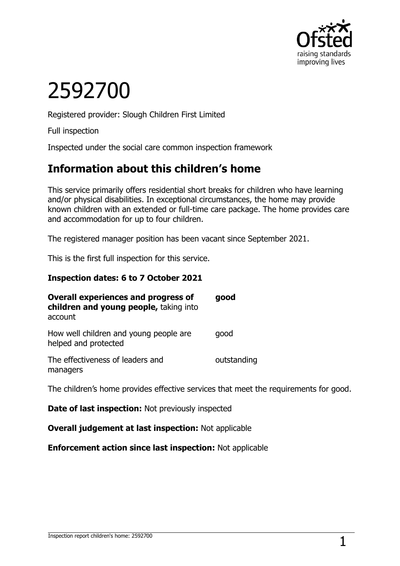

# 2592700

Registered provider: Slough Children First Limited

Full inspection

Inspected under the social care common inspection framework

## **Information about this children's home**

This service primarily offers residential short breaks for children who have learning and/or physical disabilities. In exceptional circumstances, the home may provide known children with an extended or full-time care package. The home provides care and accommodation for up to four children.

The registered manager position has been vacant since September 2021.

This is the first full inspection for this service.

#### **Inspection dates: 6 to 7 October 2021**

| <b>Overall experiences and progress of</b><br>children and young people, taking into<br>account | good        |
|-------------------------------------------------------------------------------------------------|-------------|
| How well children and young people are<br>helped and protected                                  | good        |
| The effectiveness of leaders and<br>managers                                                    | outstanding |

The children's home provides effective services that meet the requirements for good.

**Date of last inspection:** Not previously inspected

**Overall judgement at last inspection:** Not applicable

**Enforcement action since last inspection:** Not applicable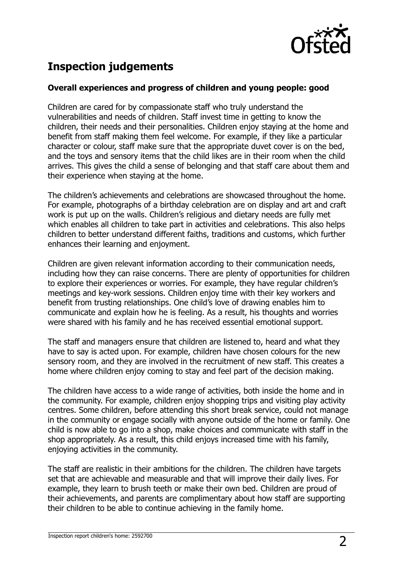

# **Inspection judgements**

#### **Overall experiences and progress of children and young people: good**

Children are cared for by compassionate staff who truly understand the vulnerabilities and needs of children. Staff invest time in getting to know the children, their needs and their personalities. Children enjoy staying at the home and benefit from staff making them feel welcome. For example, if they like a particular character or colour, staff make sure that the appropriate duvet cover is on the bed, and the toys and sensory items that the child likes are in their room when the child arrives. This gives the child a sense of belonging and that staff care about them and their experience when staying at the home.

The children's achievements and celebrations are showcased throughout the home. For example, photographs of a birthday celebration are on display and art and craft work is put up on the walls. Children's religious and dietary needs are fully met which enables all children to take part in activities and celebrations. This also helps children to better understand different faiths, traditions and customs, which further enhances their learning and enjoyment.

Children are given relevant information according to their communication needs, including how they can raise concerns. There are plenty of opportunities for children to explore their experiences or worries. For example, they have regular children's meetings and key-work sessions. Children enjoy time with their key workers and benefit from trusting relationships. One child's love of drawing enables him to communicate and explain how he is feeling. As a result, his thoughts and worries were shared with his family and he has received essential emotional support.

The staff and managers ensure that children are listened to, heard and what they have to say is acted upon. For example, children have chosen colours for the new sensory room, and they are involved in the recruitment of new staff. This creates a home where children enjoy coming to stay and feel part of the decision making.

The children have access to a wide range of activities, both inside the home and in the community. For example, children enjoy shopping trips and visiting play activity centres. Some children, before attending this short break service, could not manage in the community or engage socially with anyone outside of the home or family. One child is now able to go into a shop, make choices and communicate with staff in the shop appropriately. As a result, this child enjoys increased time with his family, enjoying activities in the community.

The staff are realistic in their ambitions for the children. The children have targets set that are achievable and measurable and that will improve their daily lives. For example, they learn to brush teeth or make their own bed. Children are proud of their achievements, and parents are complimentary about how staff are supporting their children to be able to continue achieving in the family home.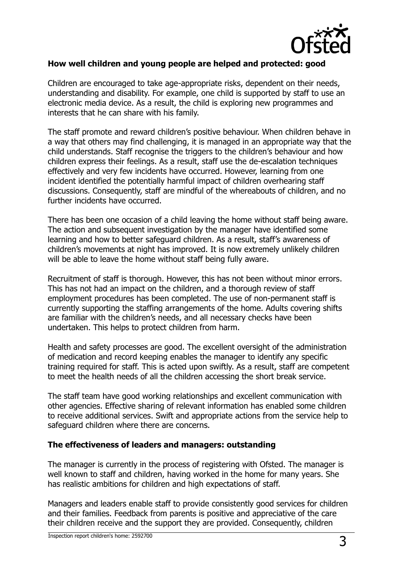

#### **How well children and young people are helped and protected: good**

Children are encouraged to take age-appropriate risks, dependent on their needs, understanding and disability. For example, one child is supported by staff to use an electronic media device. As a result, the child is exploring new programmes and interests that he can share with his family.

The staff promote and reward children's positive behaviour. When children behave in a way that others may find challenging, it is managed in an appropriate way that the child understands. Staff recognise the triggers to the children's behaviour and how children express their feelings. As a result, staff use the de-escalation techniques effectively and very few incidents have occurred. However, learning from one incident identified the potentially harmful impact of children overhearing staff discussions. Consequently, staff are mindful of the whereabouts of children, and no further incidents have occurred.

There has been one occasion of a child leaving the home without staff being aware. The action and subsequent investigation by the manager have identified some learning and how to better safeguard children. As a result, staff's awareness of children's movements at night has improved. It is now extremely unlikely children will be able to leave the home without staff being fully aware.

Recruitment of staff is thorough. However, this has not been without minor errors. This has not had an impact on the children, and a thorough review of staff employment procedures has been completed. The use of non-permanent staff is currently supporting the staffing arrangements of the home. Adults covering shifts are familiar with the children's needs, and all necessary checks have been undertaken. This helps to protect children from harm.

Health and safety processes are good. The excellent oversight of the administration of medication and record keeping enables the manager to identify any specific training required for staff. This is acted upon swiftly. As a result, staff are competent to meet the health needs of all the children accessing the short break service.

The staff team have good working relationships and excellent communication with other agencies. Effective sharing of relevant information has enabled some children to receive additional services. Swift and appropriate actions from the service help to safeguard children where there are concerns.

#### **The effectiveness of leaders and managers: outstanding**

The manager is currently in the process of registering with Ofsted. The manager is well known to staff and children, having worked in the home for many years. She has realistic ambitions for children and high expectations of staff.

Managers and leaders enable staff to provide consistently good services for children and their families. Feedback from parents is positive and appreciative of the care their children receive and the support they are provided. Consequently, children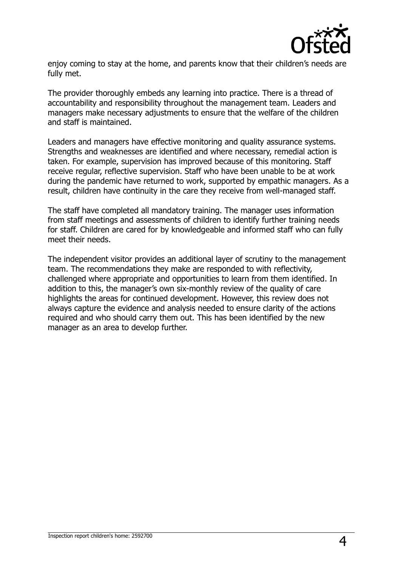

enjoy coming to stay at the home, and parents know that their children's needs are fully met.

The provider thoroughly embeds any learning into practice. There is a thread of accountability and responsibility throughout the management team. Leaders and managers make necessary adjustments to ensure that the welfare of the children and staff is maintained.

Leaders and managers have effective monitoring and quality assurance systems. Strengths and weaknesses are identified and where necessary, remedial action is taken. For example, supervision has improved because of this monitoring. Staff receive regular, reflective supervision. Staff who have been unable to be at work during the pandemic have returned to work, supported by empathic managers. As a result, children have continuity in the care they receive from well-managed staff.

The staff have completed all mandatory training. The manager uses information from staff meetings and assessments of children to identify further training needs for staff. Children are cared for by knowledgeable and informed staff who can fully meet their needs.

The independent visitor provides an additional layer of scrutiny to the management team. The recommendations they make are responded to with reflectivity, challenged where appropriate and opportunities to learn from them identified. In addition to this, the manager's own six-monthly review of the quality of care highlights the areas for continued development. However, this review does not always capture the evidence and analysis needed to ensure clarity of the actions required and who should carry them out. This has been identified by the new manager as an area to develop further.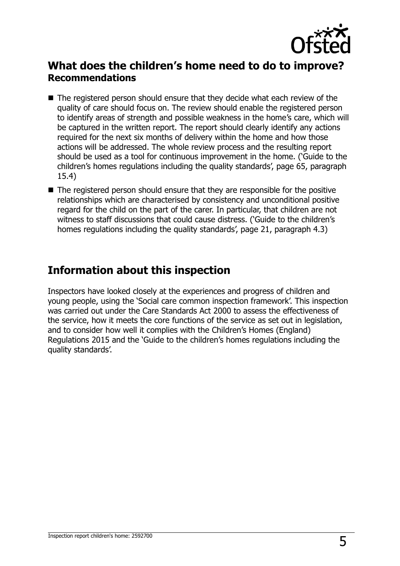

### **What does the children's home need to do to improve? Recommendations**

- The registered person should ensure that they decide what each review of the quality of care should focus on. The review should enable the registered person to identify areas of strength and possible weakness in the home's care, which will be captured in the written report. The report should clearly identify any actions required for the next six months of delivery within the home and how those actions will be addressed. The whole review process and the resulting report should be used as a tool for continuous improvement in the home. ('Guide to the children's homes regulations including the quality standards', page 65, paragraph 15.4)
- The registered person should ensure that they are responsible for the positive relationships which are characterised by consistency and unconditional positive regard for the child on the part of the carer. In particular, that children are not witness to staff discussions that could cause distress. ('Guide to the children's homes regulations including the quality standards', page 21, paragraph 4.3)

## **Information about this inspection**

Inspectors have looked closely at the experiences and progress of children and young people, using the 'Social care common inspection framework'. This inspection was carried out under the Care Standards Act 2000 to assess the effectiveness of the service, how it meets the core functions of the service as set out in legislation, and to consider how well it complies with the Children's Homes (England) Regulations 2015 and the 'Guide to the children's homes regulations including the quality standards'.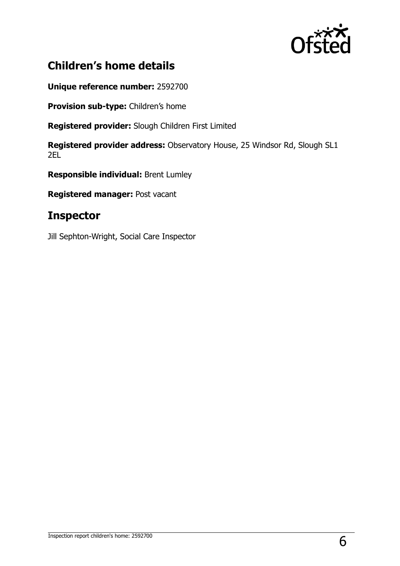

# **Children's home details**

**Unique reference number:** 2592700

**Provision sub-type:** Children's home

**Registered provider:** Slough Children First Limited

**Registered provider address:** Observatory House, 25 Windsor Rd, Slough SL1 2EL

**Responsible individual:** Brent Lumley

**Registered manager:** Post vacant

## **Inspector**

Jill Sephton-Wright, Social Care Inspector